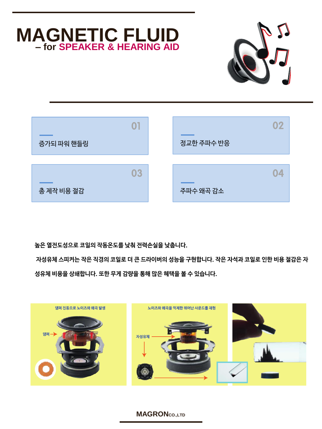# **MAGNETIC FLUID – for SPEAKER & HEARING AID**





#### **높은 열전도성으로 코일의 작동온도를 낮춰 전력손실을 낮춥니다.**

**자성유체 스피커는 작은 직경의 코일로 더 큰 드라이버의 성능을 구현합니다. 작은 자석과 코일로 인한 비용 절감은 자 성유체 비용을 상쇄합니다. 또한 무게 감량을 통해 많은 혜택을 볼 수 있습니다.**



**MAGRONCO.,LTD**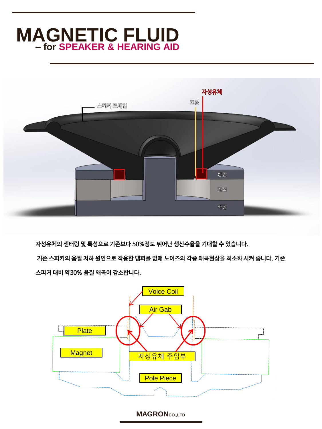# **MAGNETIC FLUID – for SPEAKER & HEARING AID**



**자성유체의 센터링 및 특성으로 기존보다 50%정도 뛰어난 생산수율을 기대할 수 있습니다. 기존 스피커의 음질 저하 원인으로 작용한 댐퍼를 없애 노이즈와 각종 왜곡현상을 최소화 시켜 줍니다. 기존 스피커 대비 약30% 음질 왜곡이 감소합니다.**



**MAGRONCO.,LTD**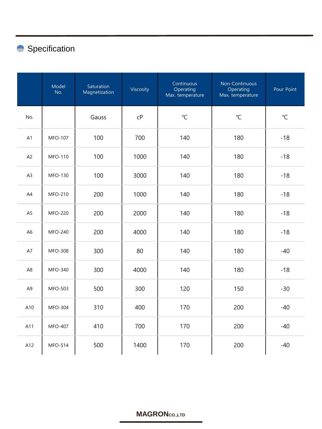### Specification

|                | Model<br>No.   | Saturation<br>Magnetization | Viscosity      | Continuous<br>Operating<br>Max. temperature | Non-Continuous<br>Operating<br>Max. temperature | Pour Point   |
|----------------|----------------|-----------------------------|----------------|---------------------------------------------|-------------------------------------------------|--------------|
| No.            |                | Gauss                       | C <sub>P</sub> | $\mathrm{C}$                                | $\mathrm{C}$                                    | $\mathrm{C}$ |
| A1             | <b>MFO-107</b> | 100                         | 700            | 140                                         | 180                                             | $-18$        |
| A <sub>2</sub> | <b>MFO-110</b> | 100                         | 1000           | 140                                         | 180                                             | $-18$        |
| A <sub>3</sub> | <b>MFO-130</b> | 100                         | 3000           | 140                                         | 180                                             | $-18$        |
| A4             | MFO-210        | 200                         | 1000           | 140                                         | 180                                             | $-18$        |
| A <sub>5</sub> | <b>MFO-220</b> | 200                         | 2000           | 140                                         | 180                                             | $-18$        |
| A <sub>6</sub> | MFO-240        | 200                         | 4000           | 140                                         | 180                                             | $-18$        |
| A7             | <b>MFO-308</b> | 300                         | 80             | 140                                         | 180                                             | $-40$        |
| A <sub>8</sub> | MFO-340        | 300                         | 4000           | 140                                         | 180                                             | $-18$        |
| A <sub>9</sub> | <b>MFO-503</b> | 500                         | 300            | 120                                         | 150                                             | $-30$        |
| A10            | <b>MFO-304</b> | 310                         | 400            | 170                                         | 200                                             | $-40$        |
| A11            | <b>MFO-407</b> | 410                         | 700            | 170                                         | 200                                             | $-40$        |
| A12            | <b>MFO-514</b> | 500                         | 1400           | 170                                         | 200                                             | $-40$        |

### **MAGRONCO.,LTD**